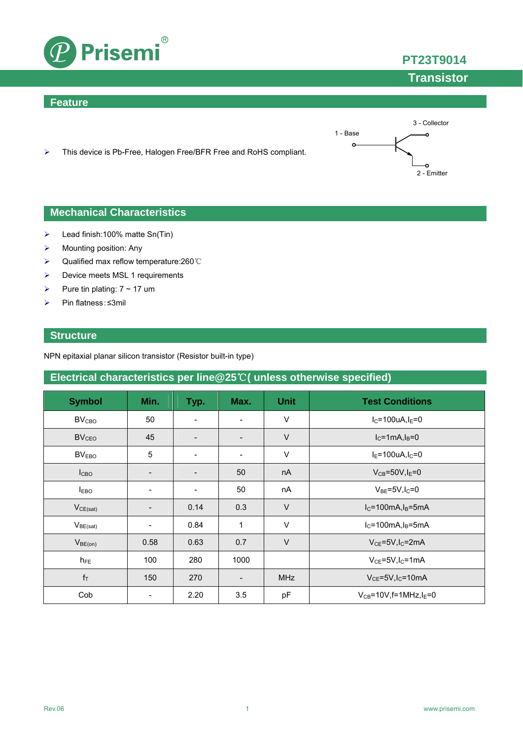

### **Feature**



> This device is Pb-Free, Halogen Free/BFR Free and RoHS compliant.

### **Mechanical Characteristics**

- $\blacktriangleright$  Lead finish:100% matte Sn(Tin)
- $\triangleright$  Mounting position: Any
- Qualified max reflow temperature:260℃
- > Device meets MSL 1 requirements
- Pure tin plating:  $7 \sim 17$  um
- Pin flatness:≤3mil

### **Structure**

NPN epitaxial planar silicon transistor (Resistor built-in type)

### **Electrical characteristics per line@25**℃**( unless otherwise specified)**

| <b>Symbol</b>           | Min.                     | Typ.                     | Max.                     | <b>Unit</b> | <b>Test Conditions</b>                     |
|-------------------------|--------------------------|--------------------------|--------------------------|-------------|--------------------------------------------|
| <b>BV<sub>CBO</sub></b> | 50                       |                          | $\overline{\phantom{a}}$ | $\vee$      | $I_C = 100$ uA, $I_E = 0$                  |
| BV <sub>CEO</sub>       | 45                       |                          | $\overline{\phantom{a}}$ | $\vee$      | $IC=1mA,IB=0$                              |
| BV <sub>EBO</sub>       | 5                        | $\overline{\phantom{a}}$ | $\overline{\phantom{a}}$ | $\vee$      | $I_E = 100uA, I_C = 0$                     |
| I <sub>CBO</sub>        | -                        | $\overline{\phantom{a}}$ | 50                       | nA          | $V_{CB} = 50V$ , I <sub>F</sub> =0         |
| $I_{EBO}$               | -                        | $\overline{\phantom{a}}$ | 50                       | nA          | $V_{BE}$ =5V, $I_C$ =0                     |
| $V_{CE(sat)}$           | $\overline{\phantom{0}}$ | 0.14                     | 0.3                      | $\vee$      | $I_C = 100mA, I_B = 5mA$                   |
| $V_{BE(sat)}$           | -                        | 0.84                     | 1                        | $\vee$      | $I_C = 100mA, I_B = 5mA$                   |
| $V_{BE(on)}$            | 0.58                     | 0.63                     | 0.7                      | $\vee$      | $V_{CF}$ =5V, I <sub>C</sub> =2mA          |
| $h_{FE}$                | 100                      | 280                      | 1000                     |             | $V_{CE} = 5V$ , I <sub>C</sub> =1mA        |
| $f_T$                   | 150                      | 270                      | $\overline{\phantom{a}}$ | <b>MHz</b>  | $V_{CE}$ =5V, $I_C$ =10mA                  |
| Cob                     |                          | 2.20                     | 3.5                      | pF          | $V_{CB} = 10V$ , f=1MHz, I <sub>E</sub> =0 |

**PT23T9014**

## **Transistor**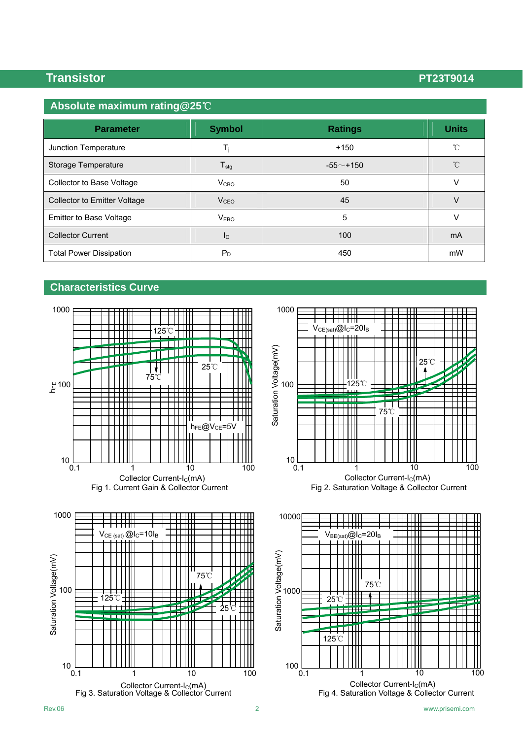## **Absolute maximum rating@25**℃

| <b>Parameter</b>                    | <b>Symbol</b>           | <b>Ratings</b> | <b>Units</b> |
|-------------------------------------|-------------------------|----------------|--------------|
| Junction Temperature                | $T_i$                   | $+150$         | $^{\circ}C$  |
| Storage Temperature                 | $T_{\text{stg}}$        | $-55$ ~+150    | $^{\circ}$ C |
| Collector to Base Voltage           | V <sub>CBO</sub>        | 50             | V            |
| <b>Collector to Emitter Voltage</b> | V <sub>CEO</sub>        | 45             | V            |
| Emitter to Base Voltage             | V <sub>EBO</sub>        | 5              | V            |
| <b>Collector Current</b>            | $\mathsf{I}_\mathsf{C}$ | 100            | mA           |
| <b>Total Power Dissipation</b>      | $P_D$                   | 450            | mW           |

### **Characteristics Curve**







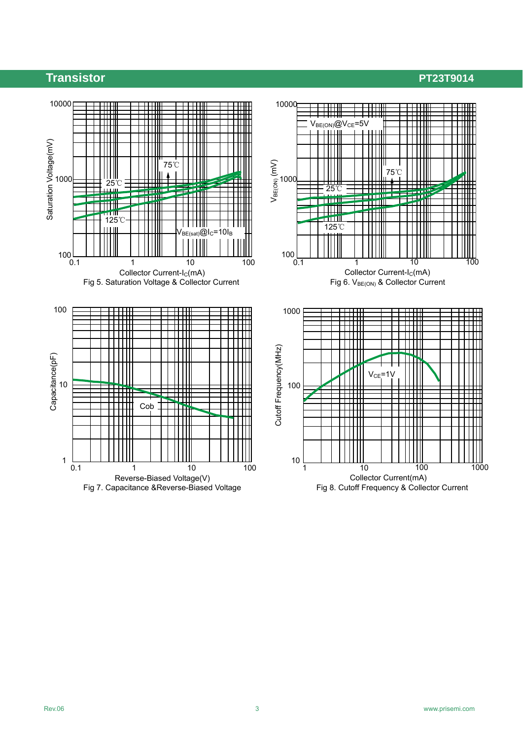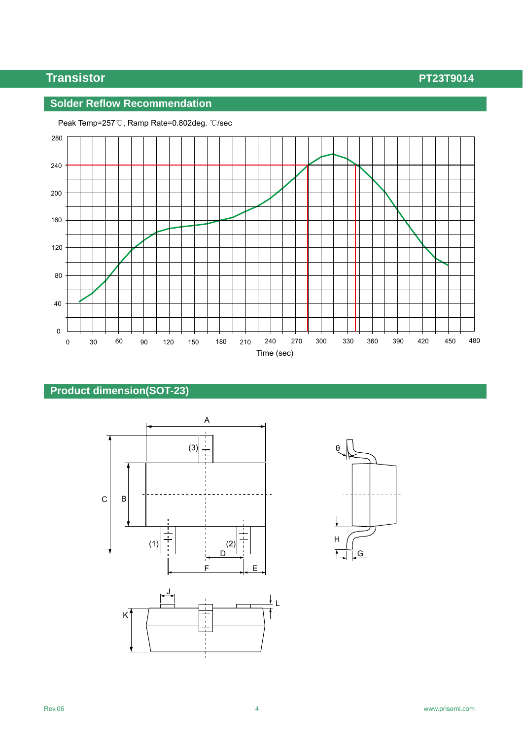### **Solder Reflow Recommendation**



Peak Temp=257℃, Ramp Rate=0.802deg. ℃/sec

## **Product dimension(SOT-23)**



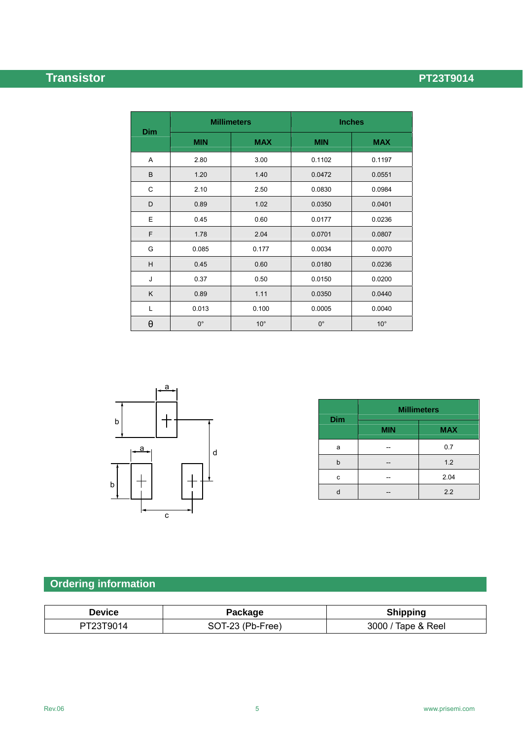|            |             | <b>Millimeters</b> | <b>Inches</b> |              |
|------------|-------------|--------------------|---------------|--------------|
| <b>Dim</b> | <b>MIN</b>  | <b>MAX</b>         | <b>MIN</b>    | <b>MAX</b>   |
| A          | 2.80        | 3.00               | 0.1102        | 0.1197       |
| B          | 1.20        | 1.40               | 0.0472        | 0.0551       |
| C          | 2.10        | 2.50               | 0.0830        | 0.0984       |
| D          | 0.89        | 1.02               | 0.0350        | 0.0401       |
| E          | 0.45        | 0.60               | 0.0177        | 0.0236       |
| F          | 1.78        | 2.04               | 0.0701        | 0.0807       |
| G          | 0.085       | 0.177              | 0.0034        | 0.0070       |
| H          | 0.45        | 0.60               | 0.0180        | 0.0236       |
| J          | 0.37        | 0.50               | 0.0150        | 0.0200       |
| K          | 0.89        | 1.11               | 0.0350        | 0.0440       |
| Г          | 0.013       | 0.100              | 0.0005        | 0.0040       |
| $\theta$   | $0^{\circ}$ | $10^{\circ}$       | $0^{\circ}$   | $10^{\circ}$ |



|     | <b>Millimeters</b> |            |  |  |
|-----|--------------------|------------|--|--|
| Dim | <b>MIN</b>         | <b>MAX</b> |  |  |
| a   |                    | 0.7        |  |  |
| b   |                    | 1.2        |  |  |
| c   |                    | 2.04       |  |  |
|     |                    | 2.2        |  |  |

# **Ordering information**

| <b>Device</b> | Package          | <b>Shipping</b>    |
|---------------|------------------|--------------------|
| PT23T9014     | SOT-23 (Pb-Free) | 3000 / Tape & Reel |